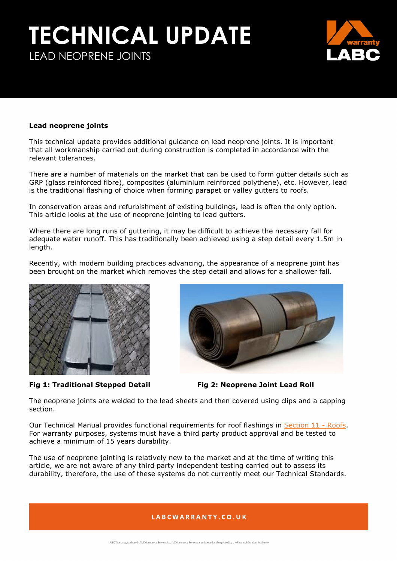## **TECHNICAL UPDATE** LEAD NEOPRENE JOINTS



#### **Lead neoprene joints**

This technical update provides additional guidance on lead neoprene joints. It is important that all workmanship carried out during construction is completed in accordance with the relevant tolerances.

There are a number of materials on the market that can be used to form gutter details such as GRP (glass reinforced fibre), composites (aluminium reinforced polythene), etc. However, lead is the traditional flashing of choice when forming parapet or valley gutters to roofs.

In conservation areas and refurbishment of existing buildings, lead is often the only option. This article looks at the use of neoprene jointing to lead gutters.

Where there are long runs of guttering, it may be difficult to achieve the necessary fall for adequate water runoff. This has traditionally been achieved using a step detail every 1.5m in length.

Recently, with modern building practices advancing, the appearance of a neoprene joint has been brought on the market which removes the step detail and allows for a shallower fall.



**Fig 1: Traditional Stepped Detail Fig 2: Neoprene Joint Lead Roll**



The neoprene joints are welded to the lead sheets and then covered using clips and a capping section.

Our Technical Manual provides functional requirements for roof flashings in [Section 11 -](https://info.labcwarranty.co.uk/technical-manual-s11) Roofs. For warranty purposes, systems must have a third party product approval and be tested to achieve a minimum of 15 years durability.

The use of neoprene jointing is relatively new to the market and at the time of writing this article, we are not aware of any third party independent testing carried out to assess its durability, therefore, the use of these systems do not currently meet our Technical Standards.

#### LABCWARRANTY.CO.UK